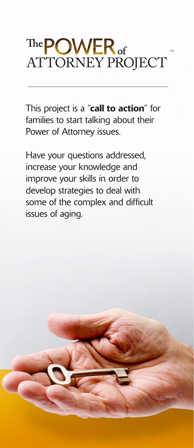# The **POWER** of **ATTORNEY PROJECT**

This project is a "call to action" for families to start talking about their Power of Attorney issues.

Have your questions addressed, increase your knowledge and improve your skills in order to develop strategies to deal with some of the complex and difficult issues of aging.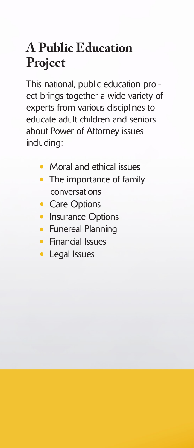#### **A Public Education Project**

This national, public education project brings together a wide variety of experts from various disciplines to educate adult children and seniors about Power of Attorney issues including:

- Moral and ethical issues
- The importance of family conversations
- Care Options
- Insurance Options
- Funereal Planning
- Financial Issues
- Legal Issues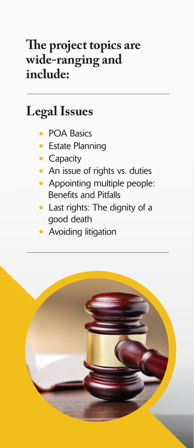#### The project topics are **wide-ranging and include:**

### **Legal Issues**

- POA Basics
- Estate Planning
- Capacity
- An issue of rights vs. duties
- Appointing multiple people: Benefits and Pitfalls
- Last rights: The dignity of a good death
- Avoiding litigation

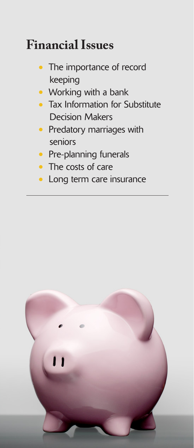#### **Financial Issues**

- The importance of record keeping
- Working with a bank
- Tax Information for Substitute Decision Makers
- Predatory marriages with seniors
- Pre-planning funerals
- The costs of care
- Long term care insurance

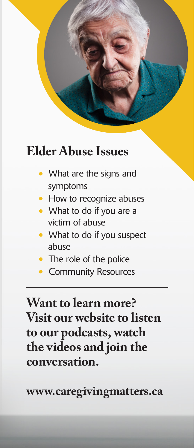#### **Elder Abuse Issues**

- What are the signs and symptoms
- How to recognize abuses
- What to do if you are a victim of abuse
- What to do if you suspect abuse
- The role of the police
- Community Resources

**Want to learn more? Visit our website to listen to our podcasts, watch the videos and join the conversation.**

**www.caregivingmatters.ca**